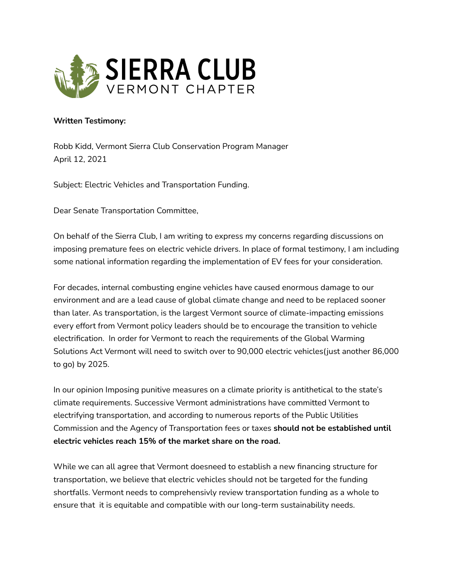

## **Written Testimony:**

Robb Kidd, Vermont Sierra Club Conservation Program Manager April 12, 2021

Subject: Electric Vehicles and Transportation Funding.

Dear Senate Transportation Committee,

On behalf of the Sierra Club, I am writing to express my concerns regarding discussions on imposing premature fees on electric vehicle drivers. In place of formal testimony, I am including some national information regarding the implementation of EV fees for your consideration.

For decades, internal combusting engine vehicles have caused enormous damage to our environment and are a lead cause of global climate change and need to be replaced sooner than later. As transportation, is the largest Vermont source of climate-impacting emissions every effort from Vermont policy leaders should be to encourage the transition to vehicle electrification. In order for Vermont to reach the requirements of the Global Warming Solutions Act Vermont will need to switch over to 90,000 electric vehicles(just another 86,000 to go) by 2025.

In our opinion Imposing punitive measures on a climate priority is antithetical to the state's climate requirements. Successive Vermont administrations have committed Vermont to electrifying transportation, and according to numerous reports of the Public Utilities Commission and the Agency of Transportation fees or taxes **should not be established until electric vehicles reach 15% of the market share on the road.**

While we can all agree that Vermont doesneed to establish a new financing structure for transportation, we believe that electric vehicles should not be targeted for the funding shortfalls. Vermont needs to comprehensivly review transportation funding as a whole to ensure that it is equitable and compatible with our long-term sustainability needs.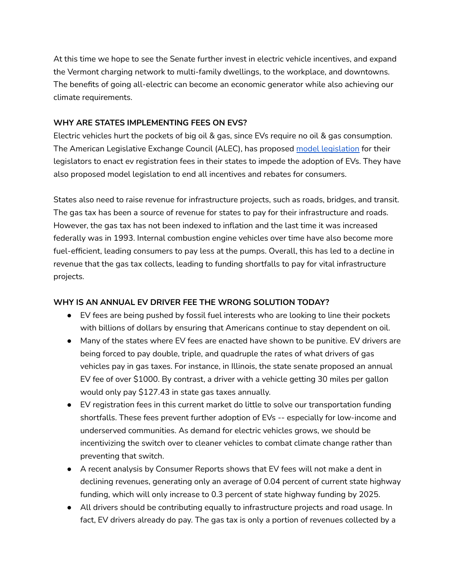At this time we hope to see the Senate further invest in electric vehicle incentives, and expand the Vermont charging network to multi-family dwellings, to the workplace, and downtowns. The benefits of going all-electric can become an economic generator while also achieving our climate requirements.

## **WHY ARE STATES IMPLEMENTING FEES ON EVS?**

Electric vehicles hurt the pockets of big oil & gas, since EVs require no oil & gas consumption. The American Legislative Exchange Council (ALEC), has proposed model [legislation](https://www.alec.org/model-policy/resolution-supporting-equal-tax-treatment-for-all-vehicles/) for their legislators to enact ev registration fees in their states to impede the adoption of EVs. They have also proposed model legislation to end all incentives and rebates for consumers.

States also need to raise revenue for infrastructure projects, such as roads, bridges, and transit. The gas tax has been a source of revenue for states to pay for their infrastructure and roads. However, the gas tax has not been indexed to inflation and the last time it was increased federally was in 1993. Internal combustion engine vehicles over time have also become more fuel-efficient, leading consumers to pay less at the pumps. Overall, this has led to a decline in revenue that the gas tax collects, leading to funding shortfalls to pay for vital infrastructure projects.

## **WHY IS AN ANNUAL EV DRIVER FEE THE WRONG SOLUTION TODAY?**

- **●** EV fees are being pushed by fossil fuel interests who are looking to line their pockets with billions of dollars by ensuring that Americans continue to stay dependent on oil.
- Many of the states where EV fees are enacted have shown to be punitive. EV drivers are being forced to pay double, triple, and quadruple the rates of what drivers of gas vehicles pay in gas taxes. For instance, in Illinois, the state senate proposed an annual EV fee of over \$1000. By contrast, a driver with a vehicle getting 30 miles per gallon would only pay \$127.43 in state gas taxes annually.
- EV registration fees in this current market do little to solve our transportation funding shortfalls. These fees prevent further adoption of EVs -- especially for low-income and underserved communities. As demand for electric vehicles grows, we should be incentivizing the switch over to cleaner vehicles to combat climate change rather than preventing that switch.
- A recent analysis by Consumer Reports shows that EV fees will not make a dent in declining revenues, generating only an average of 0.04 percent of current state highway funding, which will only increase to 0.3 percent of state highway funding by 2025.
- All drivers should be contributing equally to infrastructure projects and road usage. In fact, EV drivers already do pay. The gas tax is only a portion of revenues collected by a